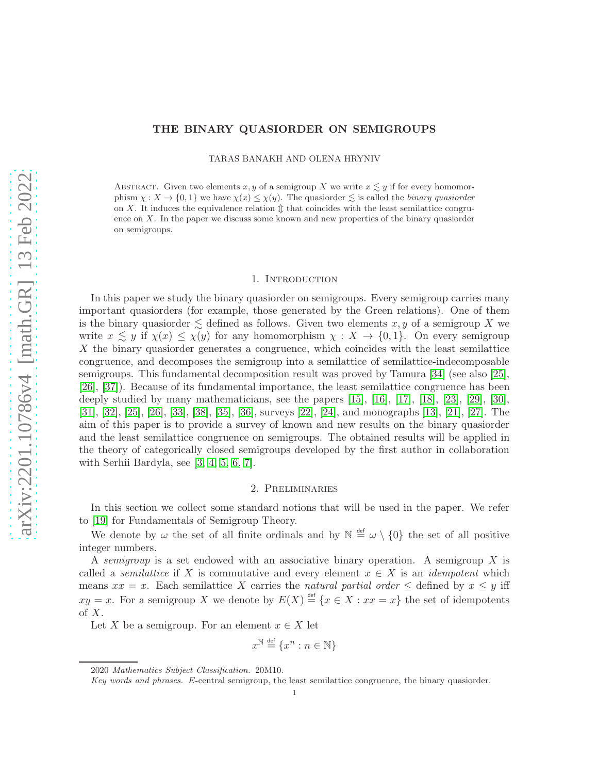# THE BINARY QUASIORDER ON SEMIGROUPS

TARAS BANAKH AND OLENA HRYNIV

ABSTRACT. Given two elements x, y of a semigroup X we write  $x \lesssim y$  if for every homomorphism  $\chi: X \to \{0,1\}$  we have  $\chi(x) \leq \chi(y)$ . The quasiorder  $\lesssim$  is called the *binary quasiorder* on X. It induces the equivalence relation  $\hat{\mathbb{I}}$  that coincides with the least semilattice congruence on X. In the paper we discuss some known and new properties of the binary quasiorder on semigroups.

#### 1. INTRODUCTION

In this paper we study the binary quasiorder on semigroups. Every semigroup carries many important quasiorders (for example, those generated by the Green relations). One of them is the binary quasionater  $\leq$  defined as follows. Given two elements x, y of a semigroup X we write  $x \leq y$  if  $\chi(x) \leq \chi(y)$  for any homomorphism  $\chi: X \to \{0,1\}$ . On every semigroup X the binary quasiorder generates a congruence, which coincides with the least semilattice congruence, and decomposes the semigroup into a semilattice of semilattice-indecomposable semigroups. This fundamental decomposition result was proved by Tamura [\[34\]](#page-8-0) (see also [\[25\]](#page-8-1), [\[26\]](#page-8-2), [\[37\]](#page-8-3)). Because of its fundamental importance, the least semilattice congruence has been deeply studied by many mathematicians, see the papers  $[15]$ ,  $[16]$ ,  $[17]$ ,  $[18]$ ,  $[23]$ ,  $[29]$ ,  $[30]$ , [\[31\]](#page-8-11), [\[32\]](#page-8-12), [\[25\]](#page-8-1), [\[26\]](#page-8-2), [\[33\]](#page-8-13), [\[38\]](#page-8-14), [\[35\]](#page-8-15), [\[36\]](#page-8-16), surveys [\[22\]](#page-8-17), [\[24\]](#page-8-18), and monographs [\[13\]](#page-8-19), [\[21\]](#page-8-20), [\[27\]](#page-8-21). The aim of this paper is to provide a survey of known and new results on the binary quasiorder and the least semilattice congruence on semigroups. The obtained results will be applied in the theory of categorically closed semigroups developed by the first author in collaboration with Serhii Bardyla, see [\[3,](#page-7-0) [4,](#page-7-1) [5,](#page-7-2) [6,](#page-7-3) [7\]](#page-7-4).

## 2. Preliminaries

In this section we collect some standard notions that will be used in the paper. We refer to [\[19\]](#page-8-22) for Fundamentals of Semigroup Theory.

We denote by  $\omega$  the set of all finite ordinals and by  $\mathbb{N} \stackrel{\text{def}}{=} \omega \setminus \{0\}$  the set of all positive integer numbers.

A *semigroup* is a set endowed with an associative binary operation. A semigroup X is called a *semilattice* if X is commutative and every element  $x \in X$  is an *idempotent* which means  $xx = x$ . Each semilattice X carries the *natural partial order*  $\leq$  defined by  $x \leq y$  iff  $xy = x$ . For a semigroup X we denote by  $E(X) \stackrel{\text{def}}{=} \{x \in X : xx = x\}$  the set of idempotents of  $X$ .

Let X be a semigroup. For an element  $x \in X$  let

$$
x^{\mathbb{N}} \stackrel{\text{def}}{=} \{x^n : n \in \mathbb{N}\}
$$

<sup>2020</sup> Mathematics Subject Classification. 20M10.

Key words and phrases. E-central semigroup, the least semilattice congruence, the binary quasiorder.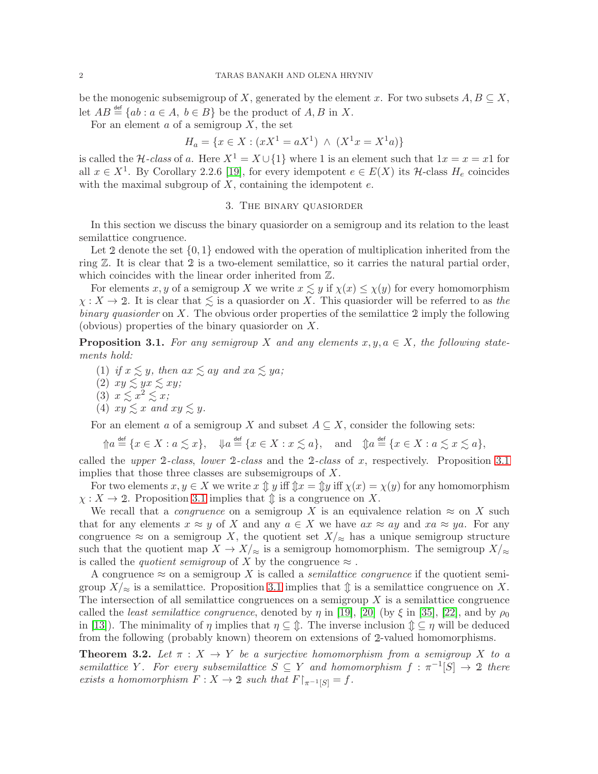be the monogenic subsemigroup of X, generated by the element x. For two subsets  $A, B \subseteq X$ , let  $AB \stackrel{\text{def}}{=} \{ab : a \in A, b \in B\}$  be the product of  $A, B$  in X.

For an element  $a$  of a semigroup  $X$ , the set

$$
H_a = \{ x \in X : (xX^1 = aX^1) \land (X^1x = X^1a) \}
$$

is called the *H-class* of a. Here  $X^1 = X \cup \{1\}$  where 1 is an element such that  $1x = x = x1$  for all  $x \in X^1$ . By Corollary 2.2.6 [\[19\]](#page-8-22), for every idempotent  $e \in E(X)$  its  $\mathcal{H}$ -class  $H_e$  coincides with the maximal subgroup of  $X$ , containing the idempotent  $e$ .

#### 3. The binary quasiorder

In this section we discuss the binary quasiorder on a semigroup and its relation to the least semilattice congruence.

Let 2 denote the set  $\{0,1\}$  endowed with the operation of multiplication inherited from the ring Z. It is clear that <sup>2</sup> is a two-element semilattice, so it carries the natural partial order, which coincides with the linear order inherited from  $\mathbb{Z}$ .

For elements x, y of a semigroup X we write  $x \lesssim y$  if  $\chi(x) \leq \chi(y)$  for every homomorphism  $\chi: X \to 2$ . It is clear that  $\lesssim$  is a quasiorder on X. This quasiorder will be referred to as *the binary quasiorder* on X. The obvious order properties of the semilattice <sup>2</sup> imply the following (obvious) properties of the binary quasiorder on X.

<span id="page-1-0"></span>**Proposition 3.1.** For any semigroup X and any elements  $x, y, a \in X$ , the following state*ments hold:*

- (1) *if*  $x \leq y$ *, then*  $ax \leq ay$  *and*  $xa \leq ya$ *;*
- $(2)$   $xy \lesssim yx \lesssim xy;$
- (3)  $x \lesssim x^2 \lesssim x$ ;
- (4)  $xy \leq x$  and  $xy \leq y$ .

For an element a of a semigroup X and subset  $A \subseteq X$ , consider the following sets:

$$
\mathcal{D}a \stackrel{\text{def}}{=} \{x \in X : a \lesssim x\}, \quad \mathcal{D}a \stackrel{\text{def}}{=} \{x \in X : x \lesssim a\}, \quad \text{and} \quad \mathcal{D}a \stackrel{\text{def}}{=} \{x \in X : a \lesssim x \lesssim a\},
$$

called the *upper* <sup>2</sup>*-class*, *lower* <sup>2</sup>*-class* and the <sup>2</sup>*-class* of x, respectively. Proposition [3.1](#page-1-0) implies that those three classes are subsemigroups of X.

For two elements  $x, y \in X$  we write  $x \oplus y$  iff  $\lim_{x \to x} x = \lim_{x \to x} x = \lim_{x \to x} y$  for any homomorphism  $\chi: X \to 2$ . Proposition [3.1](#page-1-0) implies that  $\mathcal{D}$  is a congruence on X.

We recall that a *congruence* on a semigroup X is an equivalence relation  $\approx$  on X such that for any elements  $x \approx y$  of X and any  $a \in X$  we have  $ax \approx ay$  and  $xa \approx ya$ . For any congruence  $\approx$  on a semigroup X, the quotient set  $X/\approx$  has a unique semigroup structure such that the quotient map  $X \to X/\approx$  is a semigroup homomorphism. The semigroup  $X/\approx$ is called the *quotient semigroup* of X by the congruence  $\approx$ .

A congruence  $\approx$  on a semigroup X is called a *semilattice congruence* if the quotient semigroup  $X/\approx$  is a semilattice. Proposition [3.1](#page-1-0) implies that  $\hat{\mathbb{I}}$  is a semilattice congruence on X. The intersection of all semilattice congruences on a semigroup  $X$  is a semilattice congruence called the *least semilattice congruence*, denoted by  $\eta$  in [\[19\]](#page-8-22), [\[20\]](#page-8-23) (by  $\xi$  in [\[35\]](#page-8-15), [\[22\]](#page-8-17), and by  $\rho_0$ in [\[13\]](#page-8-19)). The minimality of  $\eta$  implies that  $\eta \subseteq \hat{\psi}$ . The inverse inclusion  $\hat{\psi} \subseteq \eta$  will be deduced from the following (probably known) theorem on extensions of <sup>2</sup>-valued homomorphisms.

<span id="page-1-1"></span>**Theorem 3.2.** Let  $\pi$  :  $X \to Y$  be a surjective homomorphism from a semigroup X to a *semilattice* Y. For every subsemilattice  $S \subseteq Y$  and homomorphism  $f : \pi^{-1}[S] \to \mathcal{D}$  there *exists a homomorphism*  $F: X \to 2$  *such that*  $F \upharpoonright_{\pi^{-1}[S]} = f$ .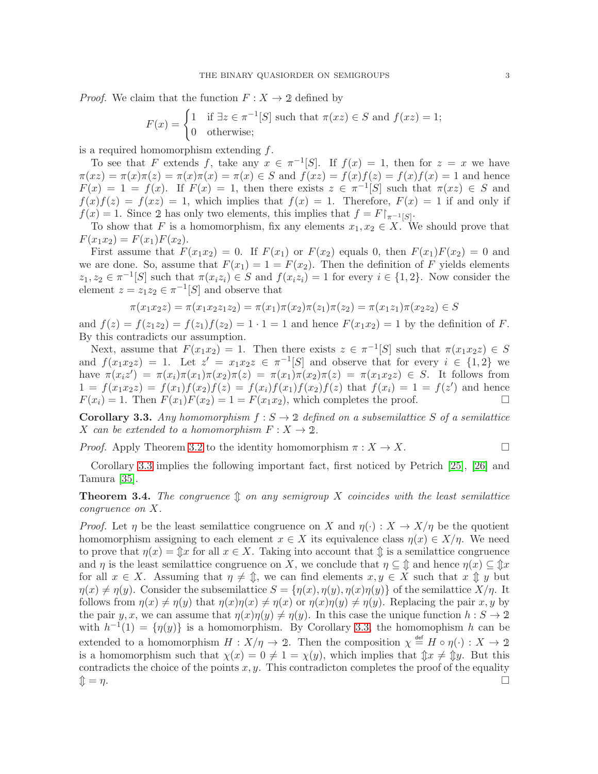*Proof.* We claim that the function  $F: X \to 2$  defined by

$$
F(x) = \begin{cases} 1 & \text{if } \exists z \in \pi^{-1}[S] \text{ such that } \pi(xz) \in S \text{ and } f(xz) = 1; \\ 0 & \text{otherwise}; \end{cases}
$$

is a required homomorphism extending  $f$ .

To see that F extends f, take any  $x \in \pi^{-1}[S]$ . If  $f(x) = 1$ , then for  $z = x$  we have  $\pi(xz) = \pi(x)\pi(z) = \pi(x)\pi(x) = \pi(x) \in S$  and  $f(xz) = f(x)f(z) = f(x)f(x) = 1$  and hence  $F(x) = 1 = f(x)$ . If  $F(x) = 1$ , then there exists  $z \in \pi^{-1}[S]$  such that  $\pi(xz) \in S$  and  $f(x)f(z) = f(xz) = 1$ , which implies that  $f(x) = 1$ . Therefore,  $F(x) = 1$  if and only if  $f(x) = 1$ . Since 2 has only two elements, this implies that  $f = F\vert_{\pi^{-1}[S]}$ .

To show that F is a homomorphism, fix any elements  $x_1, x_2 \in X$ . We should prove that  $F(x_1x_2) = F(x_1)F(x_2).$ 

First assume that  $F(x_1x_2) = 0$ . If  $F(x_1)$  or  $F(x_2)$  equals 0, then  $F(x_1)F(x_2) = 0$  and we are done. So, assume that  $F(x_1) = 1 = F(x_2)$ . Then the definition of F yields elements  $z_1, z_2 \in \pi^{-1}[S]$  such that  $\pi(x_iz_i) \in S$  and  $f(x_iz_i) = 1$  for every  $i \in \{1,2\}$ . Now consider the element  $z = z_1 z_2 \in \pi^{-1}[S]$  and observe that

$$
\pi(x_1x_2z) = \pi(x_1x_2z_1z_2) = \pi(x_1)\pi(x_2)\pi(z_1)\pi(z_2) = \pi(x_1z_1)\pi(x_2z_2) \in S
$$

and  $f(z) = f(z_1z_2) = f(z_1)f(z_2) = 1 \cdot 1 = 1$  and hence  $F(x_1x_2) = 1$  by the definition of F. By this contradicts our assumption.

Next, assume that  $F(x_1x_2) = 1$ . Then there exists  $z \in \pi^{-1}[S]$  such that  $\pi(x_1x_2z) \in S$ and  $f(x_1x_2z) = 1$ . Let  $z' = x_1x_2z \in \pi^{-1}[S]$  and observe that for every  $i \in \{1,2\}$  we have  $\pi(x_i z') = \pi(x_i)\pi(x_1)\pi(x_2)\pi(z) = \pi(x_1)\pi(x_2)\pi(z) = \pi(x_1x_2z) \in S$ . It follows from  $1 = f(x_1x_2z) = f(x_1)f(x_2)f(z) = f(x_i)f(x_1)f(x_2)f(z)$  that  $f(x_i) = 1 = f(z')$  and hence  $F(x_i) = 1$ . Then  $F(x_1)F(x_2) = 1 = F(x_1x_2)$ , which completes the proof.

<span id="page-2-0"></span>**Corollary 3.3.** Any homomorphism  $f : S \to \mathcal{D}$  defined on a subsemilattice S of a semilattice X can be extended to a homomorphism  $F: X \to 2$ .

*Proof.* Apply Theorem [3.2](#page-1-1) to the identity homomorphism  $\pi : X \to X$ .

Corollary [3.3](#page-2-0) implies the following important fact, first noticed by Petrich [\[25\]](#page-8-1), [\[26\]](#page-8-2) and Tamura [\[35\]](#page-8-15).

**Theorem 3.4.** The congruence  $\mathcal{D}$  on any semigroup X coincides with the least semilattice *congruence on* X*.*

*Proof.* Let  $\eta$  be the least semilattice congruence on X and  $\eta(\cdot) : X \to X/\eta$  be the quotient homomorphism assigning to each element  $x \in X$  its equivalence class  $\eta(x) \in X/\eta$ . We need to prove that  $\eta(x) = \hat{\mathbb{I}}x$  for all  $x \in X$ . Taking into account that  $\hat{\mathbb{I}}$  is a semilattice congruence and  $\eta$  is the least semilattice congruence on X, we conclude that  $\eta \subseteq \mathcal{D}$  and hence  $\eta(x) \subseteq \mathcal{D}x$ for all  $x \in X$ . Assuming that  $\eta \neq \mathcal{D}$ , we can find elements  $x, y \in X$  such that  $x \mathcal{D} y$  but  $\eta(x) \neq \eta(y)$ . Consider the subsemilattice  $S = {\eta(x), \eta(y), \eta(x)\eta(y)}$  of the semilattice  $X/\eta$ . It follows from  $\eta(x) \neq \eta(y)$  that  $\eta(x)\eta(x) \neq \eta(x)$  or  $\eta(x)\eta(y) \neq \eta(y)$ . Replacing the pair x, y by the pair y, x, we can assume that  $\eta(x)\eta(y) \neq \eta(y)$ . In this case the unique function  $h : S \to \mathcal{D}$ with  $h^{-1}(1) = \{\eta(y)\}\$ is a homomorphism. By Corollary [3.3,](#page-2-0) the homomophism h can be extended to a homomorphism  $H: X/\eta \to 2$ . Then the composition  $\chi \stackrel{\text{def}}{=} H \circ \eta(\cdot) : X \to 2$ is a homomorphism such that  $\chi(x) = 0 \neq 1 = \chi(y)$ , which implies that  $\oint x \neq \oint y$ . But this contradicts the choice of the points  $x, y$ . This contradicton completes the proof of the equality  $\mathbb{D} = \eta$ .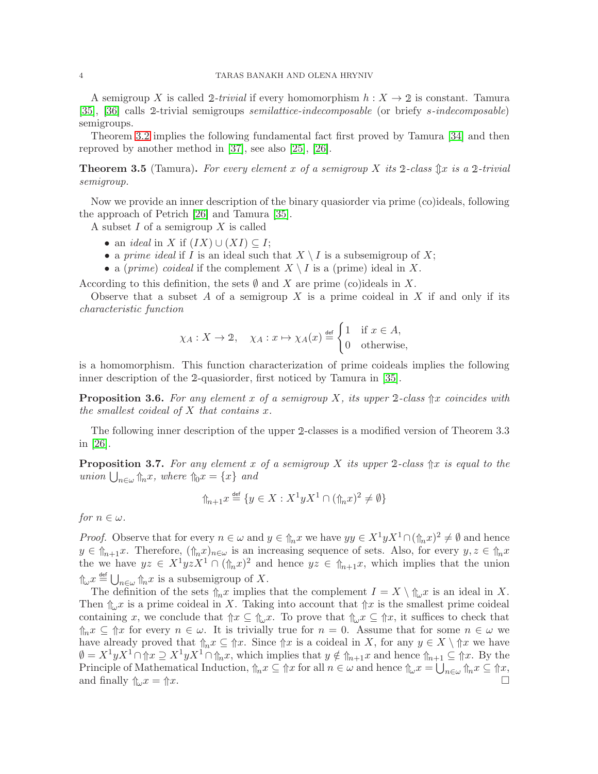A semigroup X is called 2-trivial if every homomorphism  $h: X \to 2$  is constant. Tamura [\[35\]](#page-8-15), [\[36\]](#page-8-16) calls <sup>2</sup>-trivial semigroups *semilattice-indecomposable* (or briefy s*-indecomposable*) semigroups.

Theorem [3.2](#page-1-1) implies the following fundamental fact first proved by Tamura [\[34\]](#page-8-0) and then reproved by another method in [\[37\]](#page-8-3), see also [\[25\]](#page-8-1), [\[26\]](#page-8-2).

<span id="page-3-1"></span>**Theorem 3.5** (Tamura). For every element x of a semigroup X its 2-class  $\hat{\mathbb{I}}$ x is a 2-trivial *semigroup.*

Now we provide an inner description of the binary quasiorder via prime (co)ideals, following the approach of Petrich [\[26\]](#page-8-2) and Tamura [\[35\]](#page-8-15).

A subset  $I$  of a semigroup  $X$  is called

- an *ideal* in X if  $(IX) \cup (XI) \subseteq I$ ;
- a *prime ideal* if I is an ideal such that  $X \setminus I$  is a subsemigroup of X;
- a (*prime*) *coideal* if the complement  $X \setminus I$  is a (prime) ideal in X.

According to this definition, the sets  $\emptyset$  and X are prime (co)ideals in X.

Observe that a subset A of a semigroup X is a prime coideal in X if and only if its *characteristic function*

$$
\chi_A: X \to 2
$$
,  $\chi_A: x \mapsto \chi_A(x) \stackrel{\text{def}}{=} \begin{cases} 1 & \text{if } x \in A, \\ 0 & \text{otherwise,} \end{cases}$ 

is a homomorphism. This function characterization of prime coideals implies the following inner description of the <sup>2</sup>-quasiorder, first noticed by Tamura in [\[35\]](#page-8-15).

<span id="page-3-2"></span>Proposition 3.6. *For any element* x *of a semigroup* X*, its upper* <sup>2</sup>*-class* ⇑x *coincides with the smallest coideal of* X *that contains* x*.*

The following inner description of the upper <sup>2</sup>-classes is a modified version of Theorem 3.3 in [\[26\]](#page-8-2).

<span id="page-3-0"></span>**Proposition 3.7.** For any element x of a semigroup X its upper 2-class  $\hat{\uparrow}x$  is equal to the  $union\bigcup_{n\in\omega}\Uparrow_n x, where\Uparrow_0 x = \{x\} and$ 

$$
\mathcal{D}_{n+1}x \stackrel{\text{def}}{=} \{ y \in X : X^1 y X^1 \cap (\mathcal{D}_n x)^2 \neq \emptyset \}
$$

*for*  $n \in \omega$ .

*Proof.* Observe that for every  $n \in \omega$  and  $y \in \hat{\mathbb{R}}_n x$  we have  $yy \in X^1 y X^1 \cap (\hat{\mathbb{R}}_n x)^2 \neq \emptyset$  and hence  $y \in \hat{\mathbb{I}}_{n+1}x$ . Therefore,  $(\hat{\mathbb{I}}_n x)_{n \in \omega}$  is an increasing sequence of sets. Also, for every  $y, z \in \hat{\mathbb{I}}_n x$ the we have  $yz \in X^1yzX^1 \cap (\hat{\tau}_nx)^2$  and hence  $yz \in \hat{\tau}_{n+1}$ , which implies that the union  $\int_{\mathbb{R}} x \stackrel{\text{def}}{=} \bigcup_{n \in \omega} \int_{\mathbb{R}} x$  is a subsemigroup of X.

The definition of the sets  $\Uparrow_n x$  implies that the complement  $I = X \setminus \Uparrow_{\omega} x$  is an ideal in X. Then  $\int_{\mathbb{R}^n} x$  is a prime coideal in X. Taking into account that  $\int \mathbb{R}^n x$  is the smallest prime coideal containing x, we conclude that  $\Uparrow x \subseteq \Uparrow_{\omega} x$ . To prove that  $\Uparrow_{\omega} x \subseteq \Uparrow x$ , it suffices to check that  $\Uparrow_n x \subseteq \Uparrow x$  for every  $n \in \omega$ . It is trivially true for  $n = 0$ . Assume that for some  $n \in \omega$  we have already proved that  $\Uparrow_n x \subseteq \Uparrow x$ . Since  $\Uparrow x$  is a coideal in X, for any  $y \in X \setminus \Uparrow x$  we have  $\emptyset = X^1 y X^1 \cap \mathcal{U} \supseteq X^1 y X^1 \cap \mathcal{U}_n$ , which implies that  $y \notin \mathcal{U}_{n+1}$  and hence  $\mathcal{U}_{n+1} \subseteq \mathcal{U}_n$ . By the Principle of Mathematical Induction,  $\ln x \subseteq \ln x$  for all  $n \in \omega$  and hence  $\ln \omega x = \bigcup_{n \in \omega} \ln x \subseteq \ln x$ , and finally  $\int_{\omega} x = \int x$ .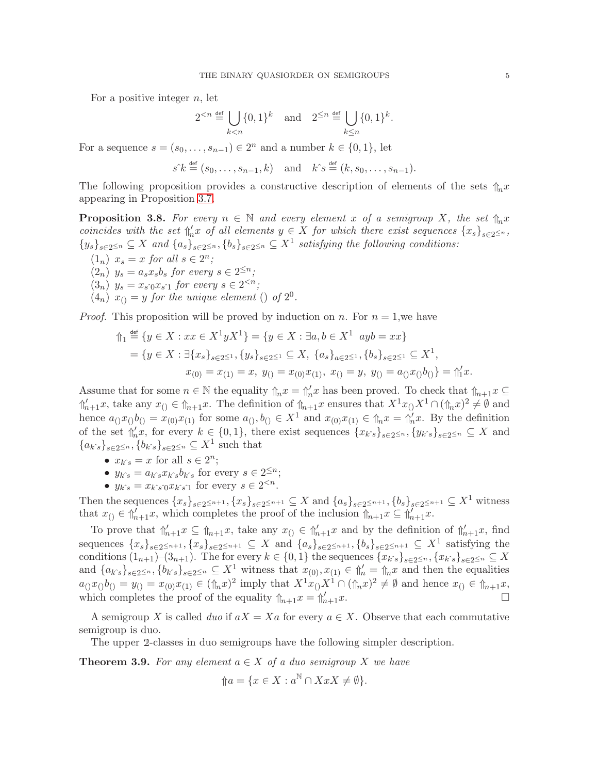For a positive integer  $n$ , let

$$
2^{< n} \stackrel{\text{def}}{=} \bigcup_{k < n} \{0, 1\}^k \quad \text{and} \quad 2^{\leq n} \stackrel{\text{def}}{=} \bigcup_{k \leq n} \{0, 1\}^k.
$$

For a sequence  $s = (s_0, \ldots, s_{n-1}) \in 2^n$  and a number  $k \in \{0, 1\}$ , let

$$
s^{\hat{}}k \stackrel{\text{def}}{=} (s_0, \dots, s_{n-1}, k) \quad \text{and} \quad k^{\hat{}}s \stackrel{\text{def}}{=} (k, s_0, \dots, s_{n-1}).
$$

The following proposition provides a constructive description of elements of the sets  $\int_{\ln} x$ appearing in Proposition [3.7.](#page-3-0)

<span id="page-4-0"></span>**Proposition 3.8.** For every  $n \in \mathbb{N}$  and every element x of a semigroup X, the set  $\hat{\eta}_n x$ *coincides with the set*  $\int_{a}^{b} x \text{ of all elements } y \in X \text{ for which there exist sequences } \{x_s\}_{s \in 2 \leq n}$ ,  ${y_s}_{s\in 2^{\leq n}} \subseteq X$  and  ${a_s}_{s\in 2^{\leq n}}$ ,  ${b_s}_{s\in 2^{\leq n}} \subseteq X^1$  satisfying the following conditions:

- $(1_n)$   $x_s = x$  *for all*  $s \in 2^n$ *;*
- $(2_n)$   $y_s = a_s x_s b_s$  *for every*  $s \in 2^{\leq n}$ *;*
- $(3_n)$   $y_s = x_{s_0} x_{s_0}$  for every  $s \in 2^{< n}$ ;
- $(4<sub>n</sub>)$   $x<sub>(</sub>) = y$  *for the unique element* () *of*  $2<sup>0</sup>$ *.*

*Proof.* This proposition will be proved by induction on n. For  $n = 1$ , we have

$$
\begin{aligned} \n\Uparrow_1 & \stackrel{\text{def}}{=} \{ y \in X : xx \in X^1 y X^1 \} = \{ y \in X : \exists a, b \in X^1 \, \text{ and } \, xx \} \\ \n&= \{ y \in X : \exists \{ x_s \}_{s \in 2 \le 1}, \{ y_s \}_{s \in 2 \le 1} \subseteq X, \, \{ a_s \}_{a \in 2 \le 1}, \{ b_s \}_{s \in 2 \le 1} \subseteq X^1, \\ \nx_{(0)} &= x_{(1)} = x, \, y_{()} = x_{(0)} x_{(1)}, \, x_{()} = y, \, y_{()} = a_{()} x_{()} b_{()} \} = \Uparrow_1 x. \n\end{aligned}
$$

Assume that for some  $n \in \mathbb{N}$  the equality  $\ln x = \ln'_n x$  has been proved. To check that  $\ln_{n+1} x \subseteq$  $\int_{n+1}^{\infty} x$ , take any  $x_0 \in \int_{n+1}^{\infty} x$ . The definition of  $\int_{n+1}^{\infty} x$  ensures that  $X^1 x_0 X^1 \cap (\int_{n}^{\infty} x)^2 \neq \emptyset$  and hence  $a_{()}x_{()}b_{()} = x_{(0)}x_{(1)}$  for some  $a_{()}, b_{()} \in X^1$  and  $x_{(0)}x_{(1)} \in \mathfrak{h}_n x = \mathfrak{h}_n' x$ . By the definition of the set  $\Uparrow'_k x$ , for every  $k \in \{0,1\}$ , there exist sequences  $\{x_{k\hat{s}}\}_{s\in 2\leq n}, \{y_{k\hat{s}}\}_{s\in 2\leq n} \subseteq X$  and  ${a_{k\hat{s}}}_{s\in 2^{\leq n}}, {b_{k\hat{s}}}_{s\in 2^{\leq n}} \subseteq X^1$  such that

- $x_{k\hat{i}} = x$  for all  $s \in 2^n$ ;
- $y_{k\hat{s}} = a_{k\hat{s}}x_{k\hat{s}}b_{k\hat{s}}$  for every  $s \in 2^{\leq n}$ ;
- $y_{k\hat{s}} = x_{k\hat{s}} \partial x_{k\hat{s}}$ <sup>1</sup> for every  $s \in 2^{.$

Then the sequences  $\{x_s\}_{s\in 2\leq n+1}$ ,  $\{x_s\}_{s\in 2\leq n+1} \subseteq X$  and  $\{a_s\}_{s\in 2\leq n+1}$ ,  $\{b_s\}_{s\in 2\leq n+1} \subseteq X^1$  witness that  $x_{()} \in \mathcal{m}'_{n+1}$ , which completes the proof of the inclusion  $\mathcal{m}_{n+1}$ ,  $x \subseteq \mathcal{m}'_{n+1}$ .

To prove that  $\int_{n+1}^{\prime} x \subseteq \int_{n+1}^{x} x$ , take any  $x_{()} \in \int_{n+1}^{\prime} x$  and by the definition of  $\int_{n+1}^{\prime} x$ , find sequences  ${x_s}_{s\in 2^{\leq n+1}}$ ,  ${x_s}_{s\in 2^{\leq n+1}} \subseteq X$  and  ${a_s}_{s\in 2^{\leq n+1}}$ ,  ${b_s}_{s\in 2^{\leq n+1}} \subseteq X^1$  satisfying the conditions  $(1_{n+1})$ – $(3_{n+1})$ . The for every  $k \in \{0,1\}$  the sequences  $\{x_{k^s}\}_{s\in 2^{\leq n}}$ ,  $\{x_{k^s}\}_{s\in 2^{\leq n}} \subseteq X$ and  $\{a_{k\hat{s}}\}_{s\in 2\leq n}, \{b_{k\hat{s}}\}_{s\in 2\leq n} \subseteq X^1$  witness that  $x_{(0)}, x_{(1)} \in \mathcal{m}'_n = \mathcal{m}_n x$  and then the equalities  $a_0x_0b_0 = y_0 = x_{(0)}x_{(1)} \in (\mathcal{L} x)^2$  imply that  $X^1x_0X^1 \cap (\mathcal{L} x)^2 \neq \emptyset$  and hence  $x_0 \in \mathcal{L} x_{(1)}$ , which completes the proof of the equality  $\Uparrow_{n+1} x = \Uparrow'_{n+1} x$ .

A semigroup X is called *duo* if  $aX = Xa$  for every  $a \in X$ . Observe that each commutative semigroup is duo.

The upper <sup>2</sup>-classes in duo semigroups have the following simpler description.

<span id="page-4-1"></span>**Theorem 3.9.** For any element  $a \in X$  of a duo semigroup X we have

$$
\Uparrow a = \{x \in X : a^{\mathbb{N}} \cap XxX \neq \emptyset\}.
$$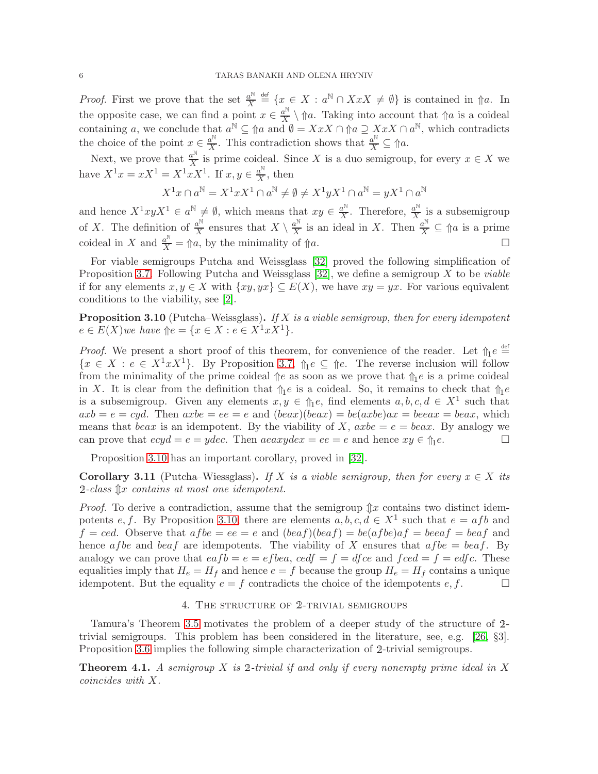*Proof.* First we prove that the set  $\frac{a^N}{X}$  $\frac{a^{\mathbb{N}}}{X} \stackrel{\text{def}}{=} \{x \in X : a^{\mathbb{N}} \cap XxX \neq \emptyset\}$  is contained in  $\Uparrow a$ . In the opposite case, we can find a point  $x \in \frac{a^N}{X}$  $\mathbb{X}^{\alpha^{\infty}}\setminus\mathbb{a}$ . Taking into account that  $\mathbb{a}$  is a coideal containing a, we conclude that  $a^{\mathbb{N}} \subseteq \mathbb{N}$  and  $\emptyset = XxX \cap \mathbb{N}$  a  $\supseteq XxX \cap a^{\mathbb{N}}$ , which contradicts the choice of the point  $x \in \frac{a^{\mathbb{N}}}{X}$  $\frac{a^{\mathbb{N}}}{X}$ . This contradiction shows that  $\frac{a^{\mathbb{N}}}{X} \subseteq \mathcal{M}$ .

Next, we prove that  $\frac{a^{\mathbb{N}}}{X}$  $\frac{a^{\cdots}}{X}$  is prime coideal. Since X is a duo semigroup, for every  $x \in X$  we have  $X^{1}x = xX^{1} = X^{1}xX^{1}$ . If  $x, y \in \frac{a^{N}}{X}$  $\frac{a^{\cdots}}{X}$ , then

$$
X^1x\cap a^{\mathbb{N}}=X^1xX^1\cap a^{\mathbb{N}}\neq\emptyset\neq X^1yX^1\cap a^{\mathbb{N}}=yX^1\cap a^{\mathbb{N}}
$$

and hence  $X^1xyX^1 \in a^{\mathbb{N}} \neq \emptyset$ , which means that  $xy \in \frac{a^{\mathbb{N}}}{X}$  $\frac{a^{\mathbb{N}}}{X}$ . Therefore,  $\frac{a^{\mathbb{N}}}{X}$  $\frac{a^{N}}{X}$  is a subsemigroup of X. The definition of  $\frac{a^N}{X}$  $\frac{a^{\mathbb{N}}}{X}$  ensures that  $X \setminus \frac{a^{\mathbb{N}}}{X}$  $\frac{a^{\mathbb{N}}}{X}$  is an ideal in X. Then  $\frac{a^{\mathbb{N}}}{X} \subseteq \mathbb{N}$  is a prime coideal in X and  $\frac{a^{\mathbb{N}}}{X} = \Uparrow a$ , by the minimality of  $\Uparrow a$ .

For viable semigroups Putcha and Weissglass [\[32\]](#page-8-12) proved the following simplification of Proposition [3.7.](#page-3-0) Following Putcha and Weissglass [\[32\]](#page-8-12), we define a semigroup X to be *viable* if for any elements  $x, y \in X$  with  $\{xy, yx\} \subseteq E(X)$ , we have  $xy = yx$ . For various equivalent conditions to the viability, see [\[2\]](#page-7-5).

<span id="page-5-0"></span>Proposition 3.10 (Putcha–Weissglass). *If* X *is a viable semigroup, then for every idempotent*  $e \in E(X)$ *we have*  $\Uparrow e = \{x \in X : e \in X^1 x X^1\}.$ 

*Proof.* We present a short proof of this theorem, for convenience of the reader. Let  $\Uparrow_1 e \stackrel{\text{def}}{=}$  ${x \in X : e \in X^1 x X^1}$ . By Proposition [3.7,](#page-3-0)  $\hat{\theta}_1 e \subseteq \hat{\theta}_1 e$ . The reverse inclusion will follow from the minimality of the prime coideal  $\|e\|$  as soon as we prove that  $\|e\|$  is a prime coideal in X. It is clear from the definition that  $\ln e$  is a coideal. So, it remains to check that  $\ln e$ is a subsemigroup. Given any elements  $x, y \in \mathcal{L}_1$  find elements  $a, b, c, d \in X^1$  such that  $axb = e = cyd$ . Then  $axbe = ee = e$  and  $(beax)(beax) = be(axbe)ax = beeax = beax$ , which means that beax is an idempotent. By the viability of X,  $axbe = e = beax$ . By analogy we can prove that  $ecyd = e = ydec$ . Then  $aeaxydex = ee = e$  and hence  $xy \in \mathcal{L}_1 e$ .

Proposition [3.10](#page-5-0) has an important corollary, proved in [\[32\]](#page-8-12).

**Corollary 3.11** (Putcha–Wiessglass). If X is a viable semigroup, then for every  $x \in X$  its  $2$ -class  $\mathcal{L}x$  *contains at most one idempotent.* 

*Proof.* To derive a contradiction, assume that the semigroup  $\mathcal{L}x$  contains two distinct idem-potents e, f. By Proposition [3.10,](#page-5-0) there are elements  $a, b, c, d \in X<sup>1</sup>$  such that  $e = afb$  and  $f = c e d$ . Observe that  $af b e = e e = e$  and  $(b e a f)(b e a f) = b e (a f b e) a f = b e a f = b e a f$  and hence af be and beaf are idempotents. The viability of X ensures that  $a f b e = b e a f$ . By analogy we can prove that  $eafb = e = efbea$ ,  $cedf = f = dfce$  and  $fced = f = edfc$ . These equalities imply that  $H_e = H_f$  and hence  $e = f$  because the group  $H_e = H_f$  contains a unique idempotent. But the equality  $e = f$  contradicts the choice of the idempotents  $e, f$ .

#### 4. The structure of <sup>2</sup>-trivial semigroups

Tamura's Theorem [3.5](#page-3-1) motivates the problem of a deeper study of the structure of <sup>2</sup> trivial semigroups. This problem has been considered in the literature, see, e.g. [\[26,](#page-8-2) §3]. Proposition [3.6](#page-3-2) implies the following simple characterization of <sup>2</sup>-trivial semigroups.

Theorem 4.1. *A semigroup* X *is* <sup>2</sup>*-trivial if and only if every nonempty prime ideal in* X *coincides with* X*.*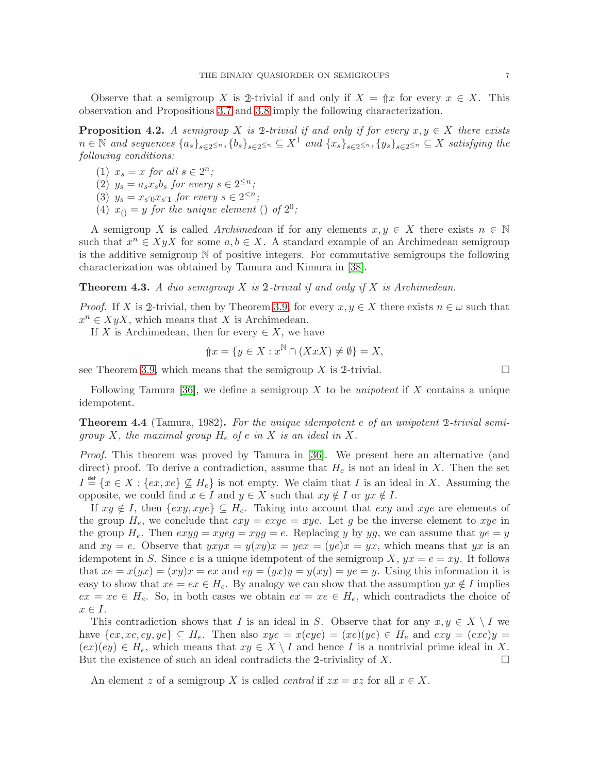Observe that a semigroup X is 2-trivial if and only if  $X = \Uparrow x$  for every  $x \in X$ . This observation and Propositions [3.7](#page-3-0) and [3.8](#page-4-0) imply the following characterization.

**Proposition 4.2.** *A semigroup* X is 2*-trivial if and only if for every*  $x, y \in X$  *there exists*  $n \in \mathbb{N}$  *and sequences*  $\{a_s\}_{s\in 2^{\leq n}}$ ,  $\{b_s\}_{s\in 2^{\leq n}} \subseteq X^1$  *and*  $\{x_s\}_{s\in 2^{\leq n}}$ ,  $\{y_s\}_{s\in 2^{\leq n}} \subseteq X$  *satisfying the following conditions:*

- (1)  $x_s = x$  *for all*  $s \in 2^n$ *;*
- (2)  $y_s = a_s x_s b_s$  *for every*  $s \in 2^{\leq n}$ *;*
- (3)  $y_s = x_{s \cap x_{s \cap x}$  for every  $s \in 2^{< n}$ ;
- (4)  $x_{()} = y$  *for the unique element* () *of*  $2^{0}$ *;*

A semigroup X is called *Archimedean* if for any elements  $x, y \in X$  there exists  $n \in \mathbb{N}$ such that  $x^n \in X y X$  for some  $a, b \in X$ . A standard example of an Archimedean semigroup is the additive semigroup  $\mathbb N$  of positive integers. For commutative semigroups the following characterization was obtained by Tamura and Kimura in [\[38\]](#page-8-14).

Theorem 4.3. *A duo semigroup* X *is* <sup>2</sup>*-trivial if and only if* X *is Archimedean.*

*Proof.* If X is 2-trivial, then by Theorem [3.9,](#page-4-1) for every  $x, y \in X$  there exists  $n \in \omega$  such that  $x^n \in XyX$ , which means that X is Archimedean.

If X is Archimedean, then for every  $\in X$ , we have

$$
\Uparrow x = \{ y \in X : x^{\mathbb{N}} \cap (XxX) \neq \emptyset \} = X,
$$

see Theorem [3.9,](#page-4-1) which means that the semigroup X is 2-trivial.

Following Tamura [\[36\]](#page-8-16), we define a semigroup X to be *unipotent* if X contains a unique idempotent.

<span id="page-6-0"></span>Theorem 4.4 (Tamura, 1982). *For the unique idempotent* e *of an unipotent* <sup>2</sup>*-trivial semigroup* X*, the maximal group* H<sup>e</sup> *of* e *in* X *is an ideal in* X*.*

*Proof.* This theorem was proved by Tamura in [\[36\]](#page-8-16). We present here an alternative (and direct) proof. To derive a contradiction, assume that  $H_e$  is not an ideal in X. Then the set  $I \stackrel{\text{def}}{=} \{x \in X : \{ex, xe\} \not\subseteq H_e\}$  is not empty. We claim that I is an ideal in X. Assuming the opposite, we could find  $x \in I$  and  $y \in X$  such that  $xy \notin I$  or  $yx \notin I$ .

If  $xy \notin I$ , then  $\{exy, xye\} \subseteq H_e$ . Taking into account that  $exy$  and  $xye$  are elements of the group  $H_e$ , we conclude that  $exy = exye = xye$ . Let g be the inverse element to xye in the group  $H_e$ . Then  $exyg = xyeg = eyg = e$ . Replacing y by yg, we can assume that  $ye = y$ and  $xy = e$ . Observe that  $yxyx = y(xy)x = yex = (ye)x = yx$ , which means that yx is an idempotent in S. Since e is a unique idempotent of the semigroup  $X, yx = e = xy$ . It follows that  $xe = x(yx) = (xy)x = ex$  and  $ey = (yx)y = y(xy) = ye = y$ . Using this information it is easy to show that  $xe = ex \in H_e$ . By analogy we can show that the assumption  $yx \notin I$  implies  $ex = xe \in H_e$ . So, in both cases we obtain  $ex = xe \in H_e$ , which contradicts the choice of  $x \in I$ .

This contradiction shows that I is an ideal in S. Observe that for any  $x, y \in X \setminus I$  we have  $\{ex, xe, ey, ye\} \subseteq H_e$ . Then also  $xye = x(eye) = (xe)(ye) \in H_e$  and  $exy = (exe)y =$  $(ex)(ey) \in H_e$ , which means that  $xy \in X \setminus I$  and hence I is a nontrivial prime ideal in X. But the existence of such an ideal contradicts the 2-triviality of X.

An element z of a semigroup X is called *central* if  $zx = xz$  for all  $x \in X$ .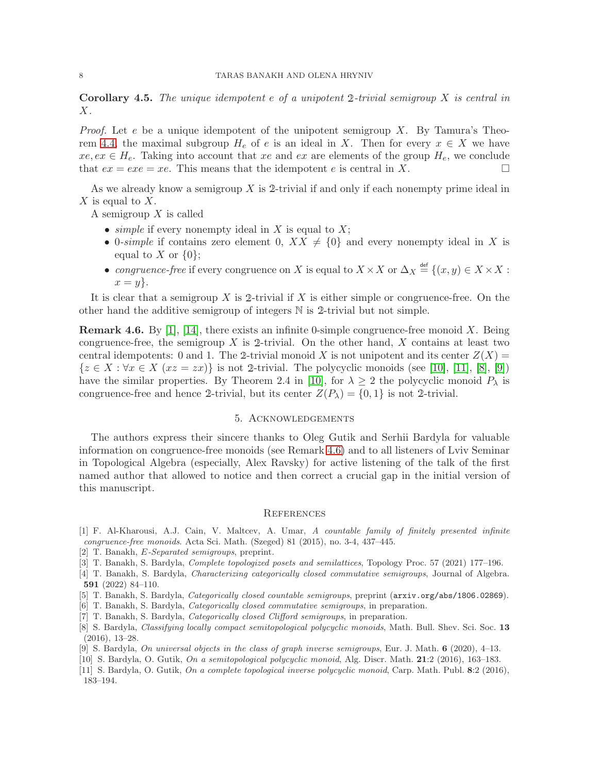Corollary 4.5. *The unique idempotent* e *of a unipotent* <sup>2</sup>*-trivial semigroup* X *is central in* X*.*

*Proof.* Let e be a unique idempotent of the unipotent semigroup X. By Tamura's Theo-rem [4.4,](#page-6-0) the maximal subgroup  $H_e$  of e is an ideal in X. Then for every  $x \in X$  we have  $xe, ex \in H_e$ . Taking into account that xe and ex are elements of the group  $H_e$ , we conclude that  $ex = exe = xe$ . This means that the idempotent e is central in X.

As we already know a semigroup  $X$  is 2-trivial if and only if each nonempty prime ideal in X is equal to  $X$ .

A semigroup  $X$  is called

- *simple* if every nonempty ideal in X is equal to X;
- 0-simple if contains zero element 0,  $XX \neq \{0\}$  and every nonempty ideal in X is equal to X or  $\{0\}$ ;
- *congruence-free* if every congruence on X is equal to  $X \times X$  or  $\Delta_X \stackrel{\text{def}}{=} \{(x, y) \in X \times X :$  $x=y$ .

It is clear that a semigroup X is 2-trivial if X is either simple or congruence-free. On the other hand the additive semigroup of integers N is <sup>2</sup>-trivial but not simple.

<span id="page-7-11"></span>**Remark 4.6.** By [\[1\]](#page-7-6), [\[14\]](#page-8-24), there exists an infinite 0-simple congruence-free monoid X. Being congruence-free, the semigroup X is 2-trivial. On the other hand, X contains at least two central idempotents: 0 and 1. The 2-trivial monoid X is not unipotent and its center  $Z(X)$  =  $\{z \in X : \forall x \in X \ (xz = zx)\}\$ is not 2-trivial. The polycyclic monoids (see [\[10\]](#page-7-7), [\[11\]](#page-7-8), [\[8\]](#page-7-9), [\[9\]](#page-7-10)) have the similar properties. By Theorem 2.4 in [\[10\]](#page-7-7), for  $\lambda \geq 2$  the polycyclic monoid  $P_{\lambda}$  is congruence-free and hence 2-trivial, but its center  $Z(P_\lambda) = \{0, 1\}$  is not 2-trivial.

# 5. Acknowledgements

The authors express their sincere thanks to Oleg Gutik and Serhii Bardyla for valuable information on congruence-free monoids (see Remark [4.6\)](#page-7-11) and to all listeners of Lviv Seminar in Topological Algebra (especially, Alex Ravsky) for active listening of the talk of the first named author that allowed to notice and then correct a crucial gap in the initial version of this manuscript.

## **REFERENCES**

- <span id="page-7-6"></span>[1] F. Al-Kharousi, A.J. Cain, V. Maltcev, A. Umar, A countable family of finitely presented infinite congruence-free monoids. Acta Sci. Math. (Szeged) 81 (2015), no. 3-4, 437–445.
- <span id="page-7-5"></span><span id="page-7-0"></span>[2] T. Banakh, *E-Separated semigroups*, preprint.
- <span id="page-7-1"></span>[3] T. Banakh, S. Bardyla, *Complete topologized posets and semilattices*, Topology Proc. 57 (2021) 177-196.
- [4] T. Banakh, S. Bardyla, Characterizing categorically closed commutative semigroups, Journal of Algebra. 591 (2022) 84–110.
- <span id="page-7-3"></span><span id="page-7-2"></span>[5] T. Banakh, S. Bardyla, Categorically closed countable semigroups, preprint (arxiv.org/abs/1806.02869).
- <span id="page-7-4"></span>[6] T. Banakh, S. Bardyla, *Categorically closed commutative semigroups*, in preparation.
- <span id="page-7-9"></span>[7] T. Banakh, S. Bardyla, Categorically closed Clifford semigroups, in preparation.
- [8] S. Bardyla, Classifying locally compact semitopological polycyclic monoids, Math. Bull. Shev. Sci. Soc. 13 (2016), 13–28.
- <span id="page-7-10"></span><span id="page-7-7"></span>[9] S. Bardyla, On universal objects in the class of graph inverse semigroups, Eur. J. Math.  $6$  (2020), 4–13.
- <span id="page-7-8"></span>[10] S. Bardyla, O. Gutik, On a semitopological polycyclic monoid, Alg. Discr. Math. 21:2 (2016), 163–183.
- [11] S. Bardyla, O. Gutik, On a complete topological inverse polycyclic monoid, Carp. Math. Publ. 8:2 (2016), 183–194.